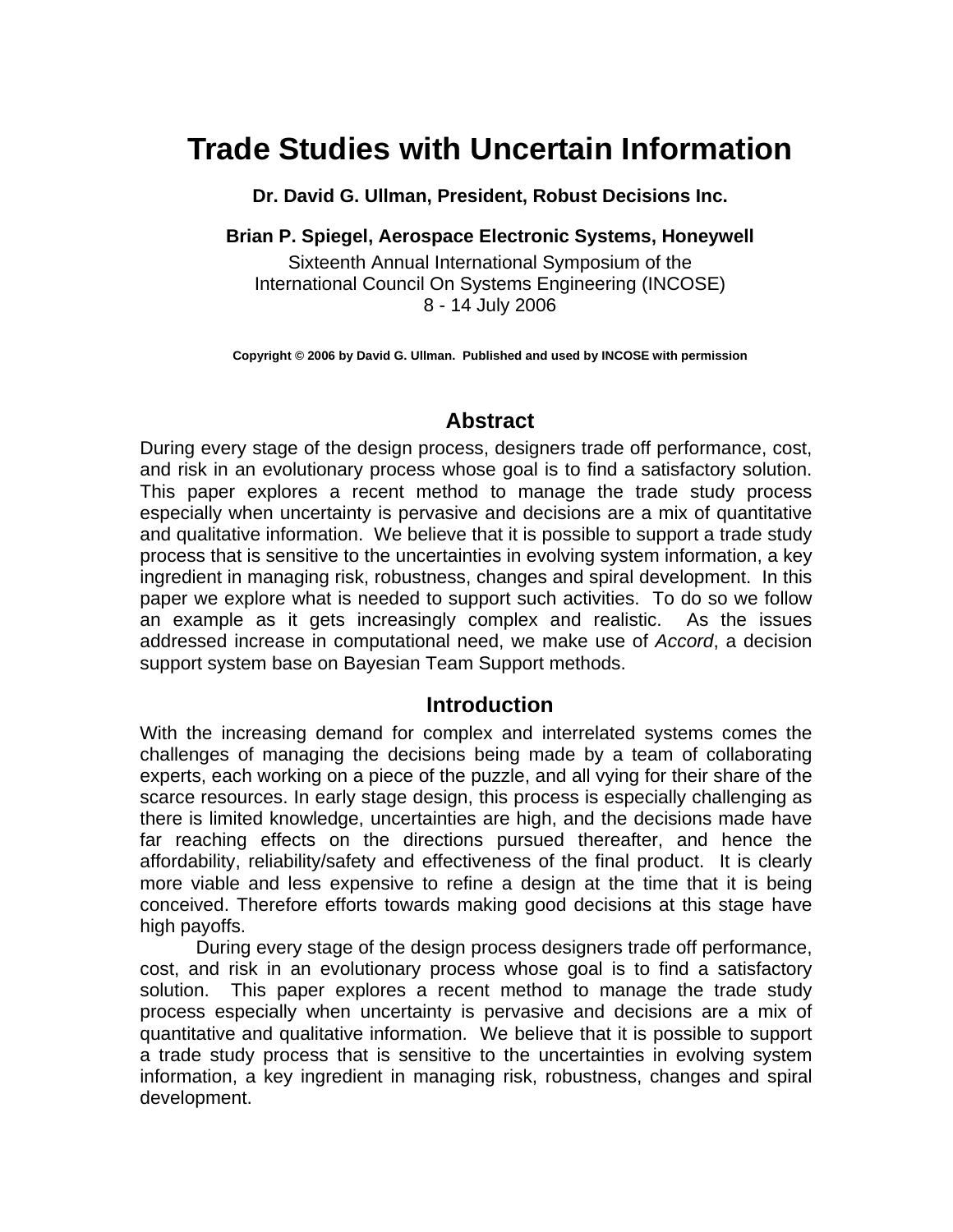# **Trade Studies with Uncertain Information**

**Dr. David G. Ullman, President, Robust Decisions Inc.** 

**Brian P. Spiegel, Aerospace Electronic Systems, Honeywell** 

Sixteenth Annual International Symposium of the International Council On Systems Engineering (INCOSE) 8 - 14 July 2006

**Copyright © 2006 by David G. Ullman. Published and used by INCOSE with permission**

#### **Abstract**

During every stage of the design process, designers trade off performance, cost, and risk in an evolutionary process whose goal is to find a satisfactory solution. This paper explores a recent method to manage the trade study process especially when uncertainty is pervasive and decisions are a mix of quantitative and qualitative information. We believe that it is possible to support a trade study process that is sensitive to the uncertainties in evolving system information, a key ingredient in managing risk, robustness, changes and spiral development. In this paper we explore what is needed to support such activities. To do so we follow an example as it gets increasingly complex and realistic. As the issues addressed increase in computational need, we make use of *Accord*, a decision support system base on Bayesian Team Support methods.

#### **Introduction**

With the increasing demand for complex and interrelated systems comes the challenges of managing the decisions being made by a team of collaborating experts, each working on a piece of the puzzle, and all vying for their share of the scarce resources. In early stage design, this process is especially challenging as there is limited knowledge, uncertainties are high, and the decisions made have far reaching effects on the directions pursued thereafter, and hence the affordability, reliability/safety and effectiveness of the final product. It is clearly more viable and less expensive to refine a design at the time that it is being conceived. Therefore efforts towards making good decisions at this stage have high payoffs.

During every stage of the design process designers trade off performance, cost, and risk in an evolutionary process whose goal is to find a satisfactory solution. This paper explores a recent method to manage the trade study process especially when uncertainty is pervasive and decisions are a mix of quantitative and qualitative information. We believe that it is possible to support a trade study process that is sensitive to the uncertainties in evolving system information, a key ingredient in managing risk, robustness, changes and spiral development.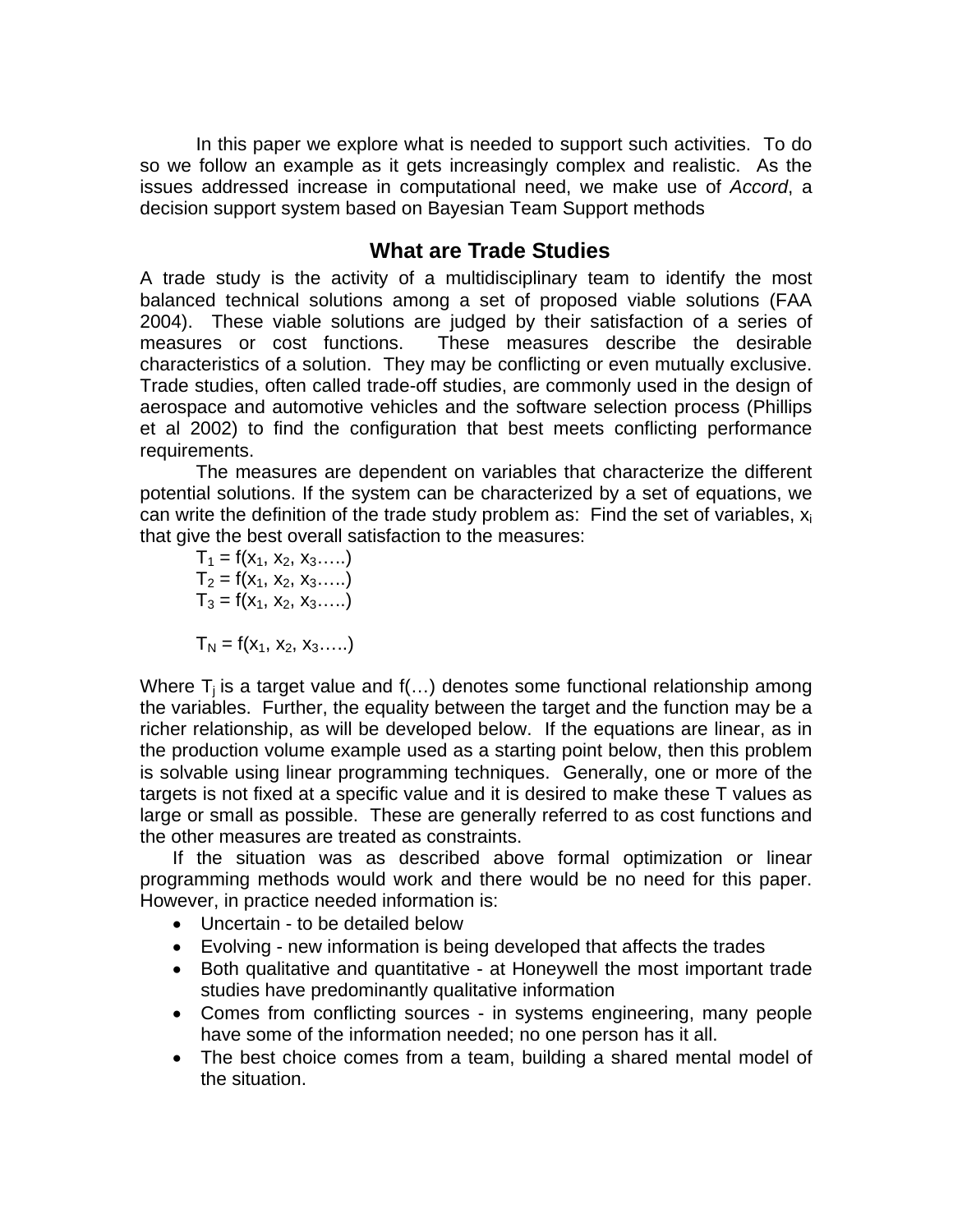In this paper we explore what is needed to support such activities. To do so we follow an example as it gets increasingly complex and realistic. As the issues addressed increase in computational need, we make use of *Accord*, a decision support system based on Bayesian Team Support methods

### **What are Trade Studies**

A trade study is the activity of a multidisciplinary team to identify the most balanced technical solutions among a set of proposed viable solutions (FAA 2004). These viable solutions are judged by their satisfaction of a series of measures or cost functions. These measures describe the desirable characteristics of a solution. They may be conflicting or even mutually exclusive. Trade studies, often called trade-off studies, are commonly used in the design of aerospace and automotive vehicles and the software selection process (Phillips et al 2002) to find the configuration that best meets conflicting performance requirements.

The measures are dependent on variables that characterize the different potential solutions. If the system can be characterized by a set of equations, we can write the definition of the trade study problem as: Find the set of variables,  $x_i$ that give the best overall satisfaction to the measures:

$$
T_1 = f(x_1, x_2, x_3.....)
$$
  
\n
$$
T_2 = f(x_1, x_2, x_3.....)
$$
  
\n
$$
T_3 = f(x_1, x_2, x_3.....)
$$
  
\n
$$
T_N = f(x_1, x_2, x_3.....)
$$

Where  $T_i$  is a target value and  $f(\ldots)$  denotes some functional relationship among the variables. Further, the equality between the target and the function may be a richer relationship, as will be developed below. If the equations are linear, as in the production volume example used as a starting point below, then this problem is solvable using linear programming techniques. Generally, one or more of the targets is not fixed at a specific value and it is desired to make these T values as large or small as possible. These are generally referred to as cost functions and the other measures are treated as constraints.

If the situation was as described above formal optimization or linear programming methods would work and there would be no need for this paper. However, in practice needed information is:

- Uncertain to be detailed below
- Evolving new information is being developed that affects the trades
- Both qualitative and quantitative at Honeywell the most important trade studies have predominantly qualitative information
- Comes from conflicting sources in systems engineering, many people have some of the information needed; no one person has it all.
- The best choice comes from a team, building a shared mental model of the situation.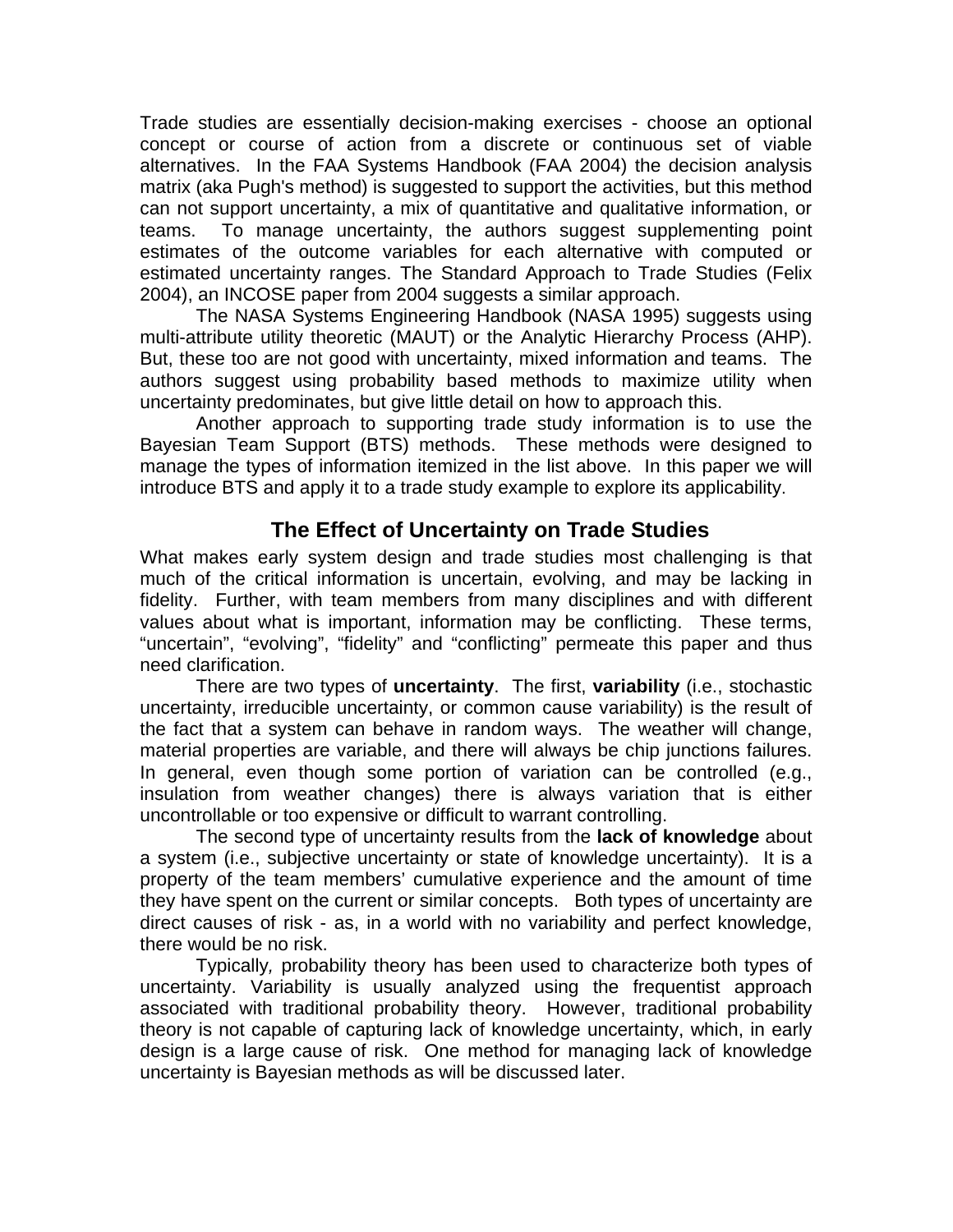Trade studies are essentially decision-making exercises - choose an optional concept or course of action from a discrete or continuous set of viable alternatives. In the FAA Systems Handbook (FAA 2004) the decision analysis matrix (aka Pugh's method) is suggested to support the activities, but this method can not support uncertainty, a mix of quantitative and qualitative information, or teams. To manage uncertainty, the authors suggest supplementing point estimates of the outcome variables for each alternative with computed or estimated uncertainty ranges. The Standard Approach to Trade Studies (Felix 2004), an INCOSE paper from 2004 suggests a similar approach.

The NASA Systems Engineering Handbook (NASA 1995) suggests using multi-attribute utility theoretic (MAUT) or the Analytic Hierarchy Process (AHP). But, these too are not good with uncertainty, mixed information and teams. The authors suggest using probability based methods to maximize utility when uncertainty predominates, but give little detail on how to approach this.

Another approach to supporting trade study information is to use the Bayesian Team Support (BTS) methods. These methods were designed to manage the types of information itemized in the list above. In this paper we will introduce BTS and apply it to a trade study example to explore its applicability.

# **The Effect of Uncertainty on Trade Studies**

What makes early system design and trade studies most challenging is that much of the critical information is uncertain, evolving, and may be lacking in fidelity. Further, with team members from many disciplines and with different values about what is important, information may be conflicting. These terms, "uncertain", "evolving", "fidelity" and "conflicting" permeate this paper and thus need clarification.

There are two types of **uncertainty**. The first, **variability** (i.e., stochastic uncertainty, irreducible uncertainty, or common cause variability) is the result of the fact that a system can behave in random ways. The weather will change, material properties are variable, and there will always be chip junctions failures. In general, even though some portion of variation can be controlled (e.g., insulation from weather changes) there is always variation that is either uncontrollable or too expensive or difficult to warrant controlling.

The second type of uncertainty results from the **lack of knowledge** about a system (i.e., subjective uncertainty or state of knowledge uncertainty). It is a property of the team members' cumulative experience and the amount of time they have spent on the current or similar concepts. Both types of uncertainty are direct causes of risk - as, in a world with no variability and perfect knowledge, there would be no risk.

 Typically*,* probability theory has been used to characterize both types of uncertainty. Variability is usually analyzed using the frequentist approach associated with traditional probability theory. However, traditional probability theory is not capable of capturing lack of knowledge uncertainty, which, in early design is a large cause of risk. One method for managing lack of knowledge uncertainty is Bayesian methods as will be discussed later.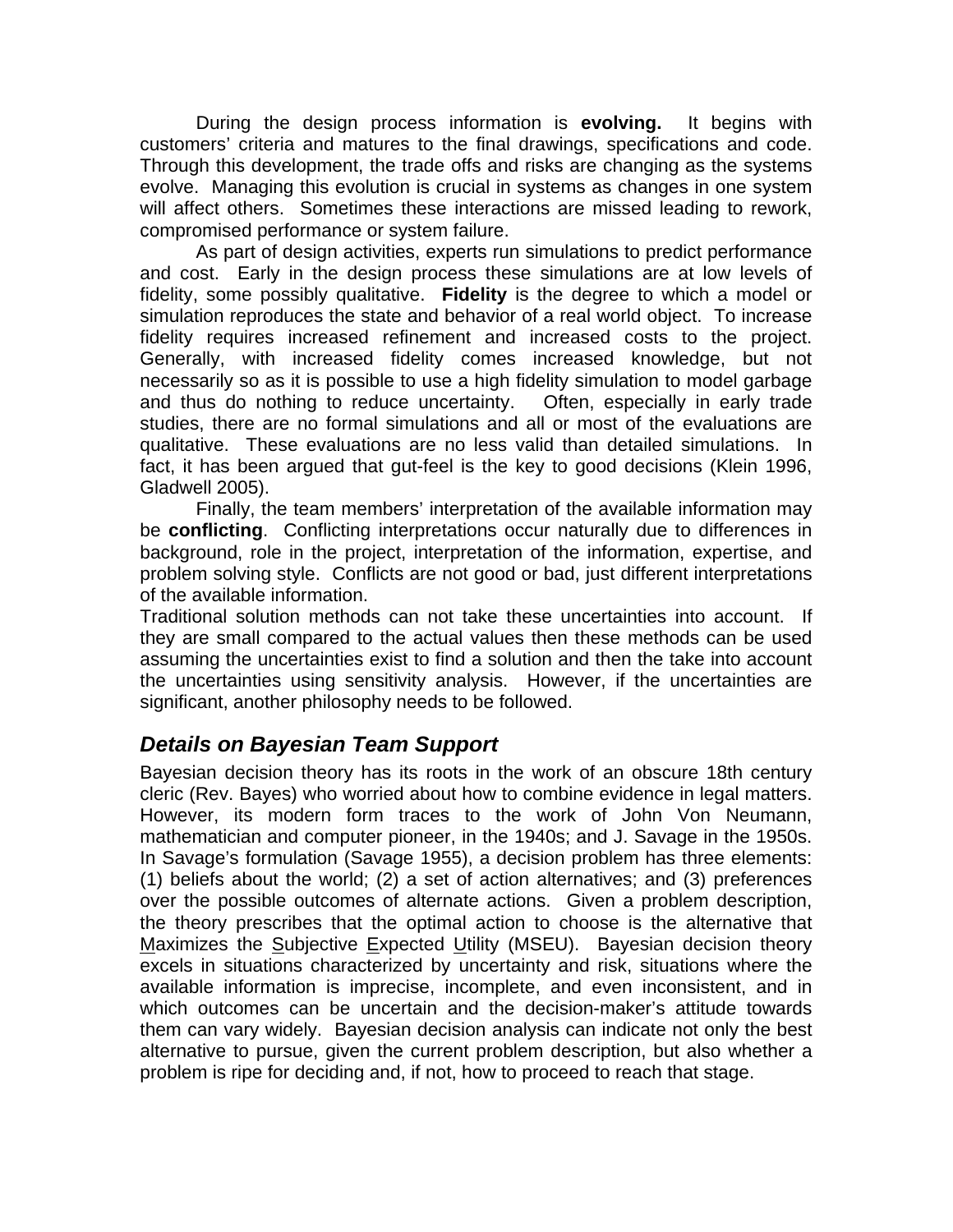During the design process information is **evolving.** It begins with customers' criteria and matures to the final drawings, specifications and code. Through this development, the trade offs and risks are changing as the systems evolve. Managing this evolution is crucial in systems as changes in one system will affect others. Sometimes these interactions are missed leading to rework, compromised performance or system failure.

 As part of design activities, experts run simulations to predict performance and cost. Early in the design process these simulations are at low levels of fidelity, some possibly qualitative. **Fidelity** is the degree to which a model or simulation reproduces the state and behavior of a real world object. To increase fidelity requires increased refinement and increased costs to the project. Generally, with increased fidelity comes increased knowledge, but not necessarily so as it is possible to use a high fidelity simulation to model garbage and thus do nothing to reduce uncertainty. Often, especially in early trade studies, there are no formal simulations and all or most of the evaluations are qualitative. These evaluations are no less valid than detailed simulations. In fact, it has been argued that gut-feel is the key to good decisions (Klein 1996, Gladwell 2005).

 Finally, the team members' interpretation of the available information may be **conflicting**. Conflicting interpretations occur naturally due to differences in background, role in the project, interpretation of the information, expertise, and problem solving style. Conflicts are not good or bad, just different interpretations of the available information.

Traditional solution methods can not take these uncertainties into account. If they are small compared to the actual values then these methods can be used assuming the uncertainties exist to find a solution and then the take into account the uncertainties using sensitivity analysis. However, if the uncertainties are significant, another philosophy needs to be followed.

## *Details on Bayesian Team Support*

Bayesian decision theory has its roots in the work of an obscure 18th century cleric (Rev. Bayes) who worried about how to combine evidence in legal matters. However, its modern form traces to the work of John Von Neumann, mathematician and computer pioneer, in the 1940s; and J. Savage in the 1950s. In Savage's formulation (Savage 1955), a decision problem has three elements: (1) beliefs about the world; (2) a set of action alternatives; and (3) preferences over the possible outcomes of alternate actions. Given a problem description, the theory prescribes that the optimal action to choose is the alternative that Maximizes the Subjective Expected Utility (MSEU). Bayesian decision theory excels in situations characterized by uncertainty and risk, situations where the available information is imprecise, incomplete, and even inconsistent, and in which outcomes can be uncertain and the decision-maker's attitude towards them can vary widely. Bayesian decision analysis can indicate not only the best alternative to pursue, given the current problem description, but also whether a problem is ripe for deciding and, if not, how to proceed to reach that stage.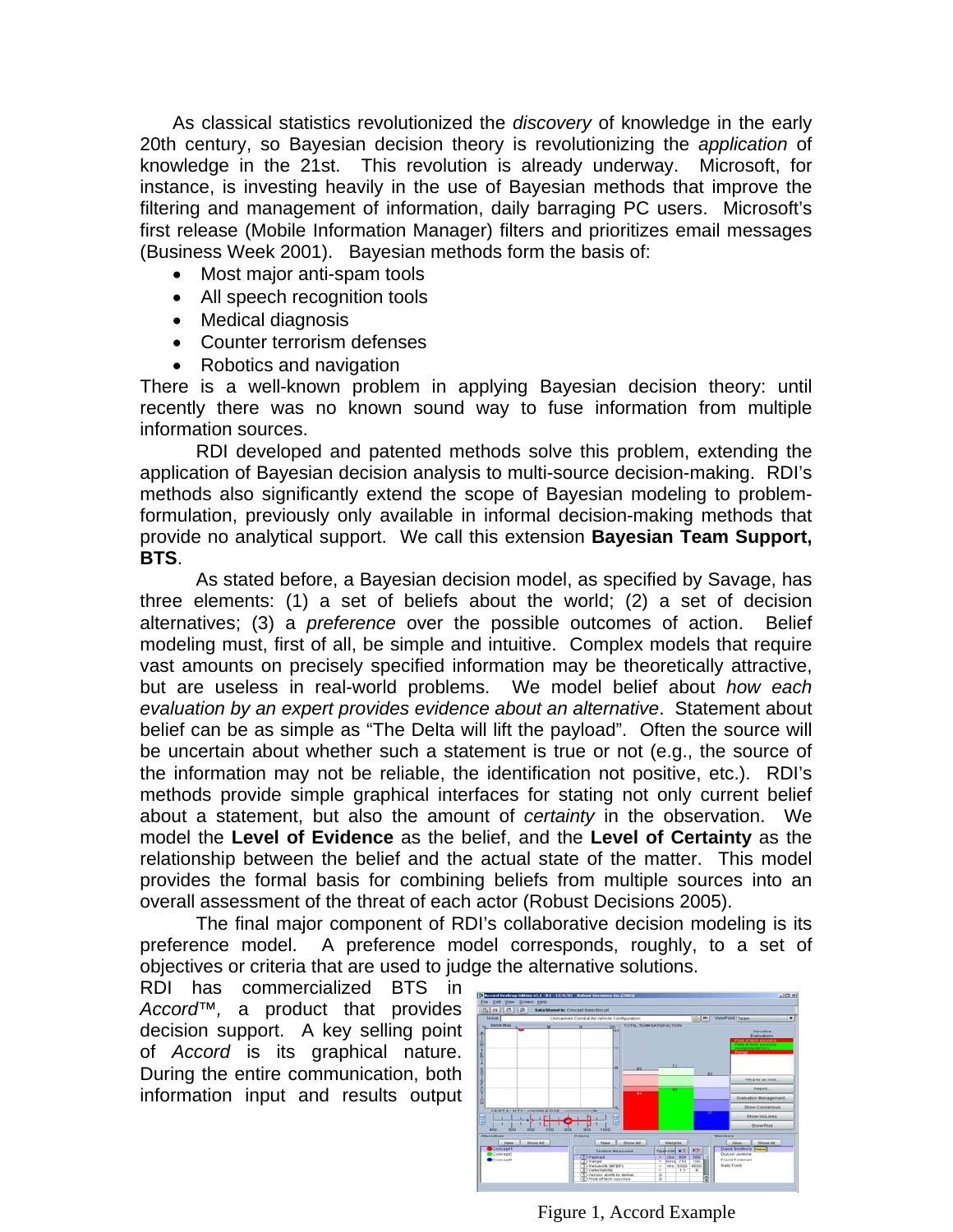As classical statistics revolutionized the *discovery* of knowledge in the early 20th century, so Bayesian decision theory is revolutionizing the *application* of knowledge in the 21st. This revolution is already underway. Microsoft, for instance, is investing heavily in the use of Bayesian methods that improve the filtering and management of information, daily barraging PC users. Microsoft's first release (Mobile Information Manager) filters and prioritizes email messages (Business Week 2001). Bayesian methods form the basis of:

- Most major anti-spam tools
- All speech recognition tools
- Medical diagnosis
- Counter terrorism defenses
- Robotics and navigation

There is a well-known problem in applying Bayesian decision theory: until recently there was no known sound way to fuse information from multiple information sources.

 RDI developed and patented methods solve this problem, extending the application of Bayesian decision analysis to multi-source decision-making. RDI's methods also significantly extend the scope of Bayesian modeling to problemformulation, previously only available in informal decision-making methods that provide no analytical support. We call this extension **Bayesian Team Support, BTS**.

As stated before, a Bayesian decision model, as specified by Savage, has three elements: (1) a set of beliefs about the world; (2) a set of decision alternatives; (3) a *preference* over the possible outcomes of action. Belief modeling must, first of all, be simple and intuitive. Complex models that require vast amounts on precisely specified information may be theoretically attractive, but are useless in real-world problems. We model belief about *how each evaluation by an expert provides evidence about an alternative*. Statement about belief can be as simple as "The Delta will lift the payload". Often the source will be uncertain about whether such a statement is true or not (e.g., the source of the information may not be reliable, the identification not positive, etc.). RDI's methods provide simple graphical interfaces for stating not only current belief about a statement, but also the amount of *certainty* in the observation. We model the **Level of Evidence** as the belief, and the **Level of Certainty** as the relationship between the belief and the actual state of the matter. This model provides the formal basis for combining beliefs from multiple sources into an overall assessment of the threat of each actor (Robust Decisions 2005).

 The final major component of RDI's collaborative decision modeling is its preference model. A preference model corresponds, roughly, to a set of objectives or criteria that are used to judge the alternative solutions.

RDI has commercialized BTS in *Accord™,* a product that provides decision support. A key selling point of *Accord* is its graphical nature. During the entire communication, both information input and results output



Figure 1, Accord Example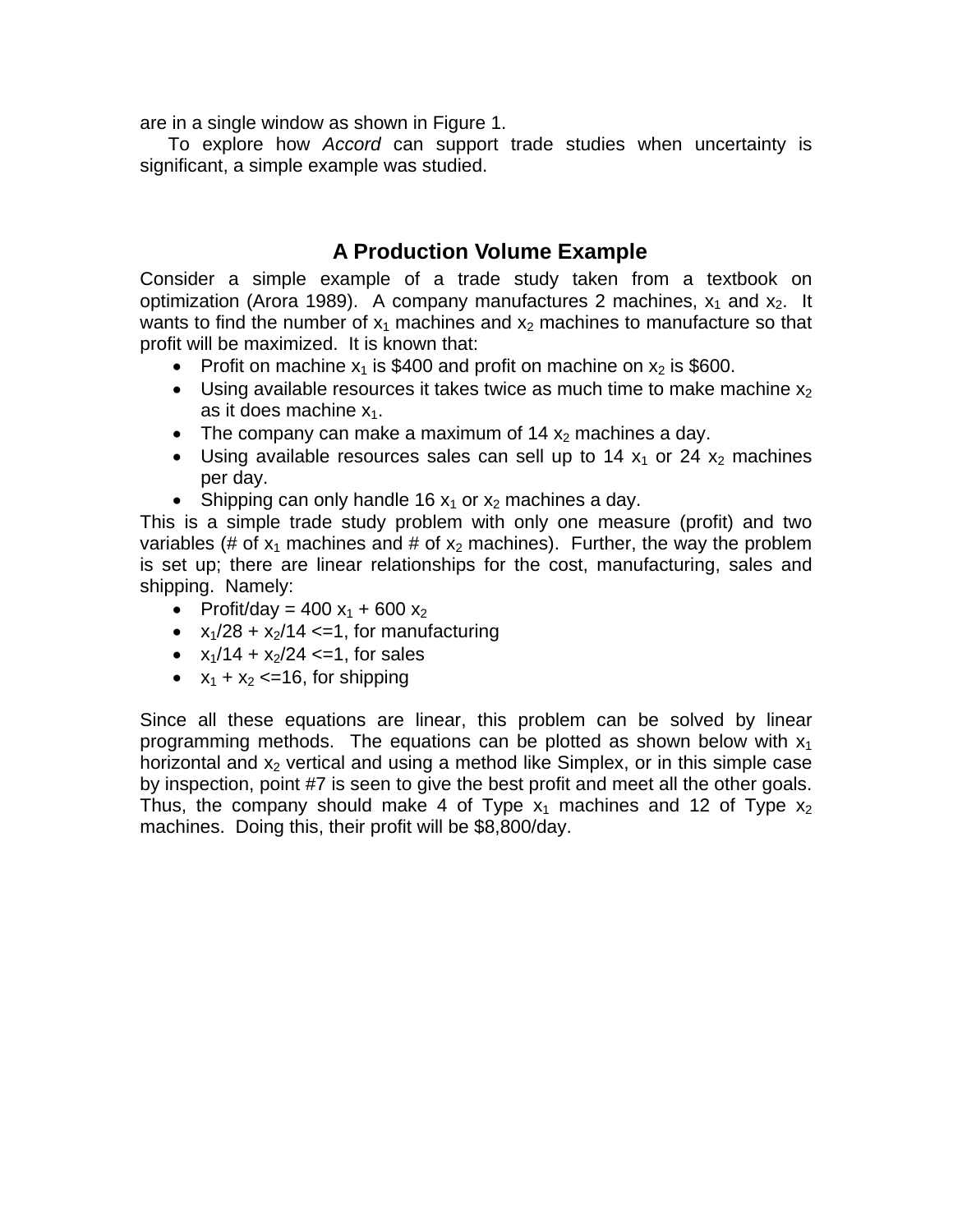are in a single window as shown in Figure 1.

To explore how *Accord* can support trade studies when uncertainty is significant, a simple example was studied.

# **A Production Volume Example**

Consider a simple example of a trade study taken from a textbook on optimization (Arora 1989). A company manufactures 2 machines,  $x_1$  and  $x_2$ . It wants to find the number of  $x_1$  machines and  $x_2$  machines to manufacture so that profit will be maximized. It is known that:

- Profit on machine  $x_1$  is \$400 and profit on machine on  $x_2$  is \$600.
- Using available resources it takes twice as much time to make machine  $x_2$ as it does machine  $x_1$ .
- The company can make a maximum of 14  $x_2$  machines a day.
- Using available resources sales can sell up to 14  $x_1$  or 24  $x_2$  machines per day.
- Shipping can only handle 16  $x_1$  or  $x_2$  machines a day.

This is a simple trade study problem with only one measure (profit) and two variables (# of  $x_1$  machines and # of  $x_2$  machines). Further, the way the problem is set up; there are linear relationships for the cost, manufacturing, sales and shipping. Namely:

- Profit/day =  $400 x_1 + 600 x_2$
- $x_1/28 + x_2/14 \leq 1$ , for manufacturing
- $x_1/14 + x_2/24 \le -1$ , for sales
- $x_1 + x_2 \le 16$ , for shipping

Since all these equations are linear, this problem can be solved by linear programming methods. The equations can be plotted as shown below with  $x_1$ horizontal and  $x<sub>2</sub>$  vertical and using a method like Simplex, or in this simple case by inspection, point #7 is seen to give the best profit and meet all the other goals. Thus, the company should make 4 of Type  $x_1$  machines and 12 of Type  $x_2$ machines. Doing this, their profit will be \$8,800/day.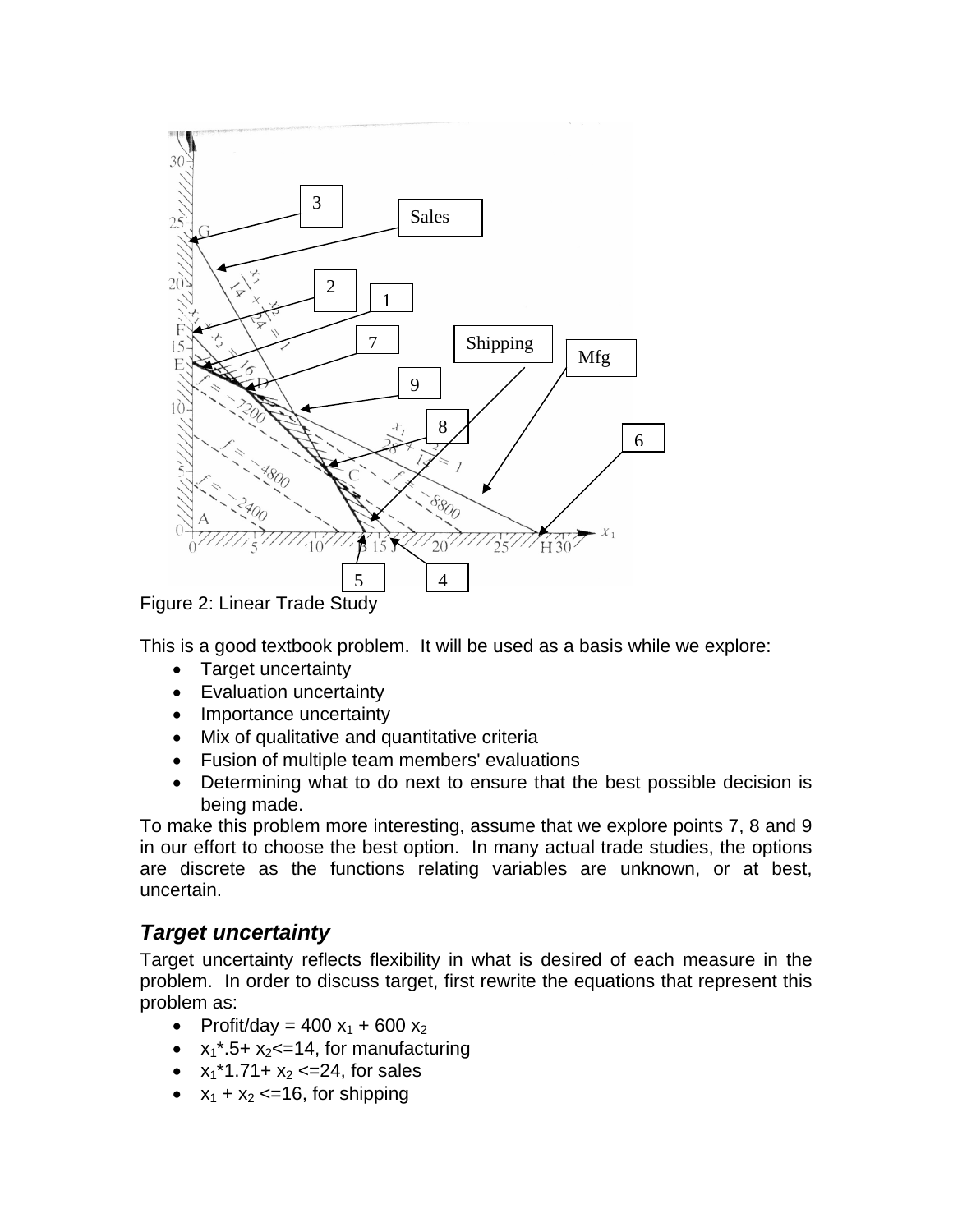

Figure 2: Linear Trade Study

This is a good textbook problem. It will be used as a basis while we explore:

- Target uncertainty
- Evaluation uncertainty
- Importance uncertainty
- Mix of qualitative and quantitative criteria
- Fusion of multiple team members' evaluations
- Determining what to do next to ensure that the best possible decision is being made.

To make this problem more interesting, assume that we explore points 7, 8 and 9 in our effort to choose the best option. In many actual trade studies, the options are discrete as the functions relating variables are unknown, or at best, uncertain.

### *Target uncertainty*

Target uncertainty reflects flexibility in what is desired of each measure in the problem. In order to discuss target, first rewrite the equations that represent this problem as:

- Profit/day = 400  $x_1$  + 600  $x_2$
- $x_1$ \*.5+  $x_2$ <=14, for manufacturing
- $x_1$ <sup>\*</sup>1.71+  $x_2$  <=24, for sales
- $x_1 + x_2 \le 16$ , for shipping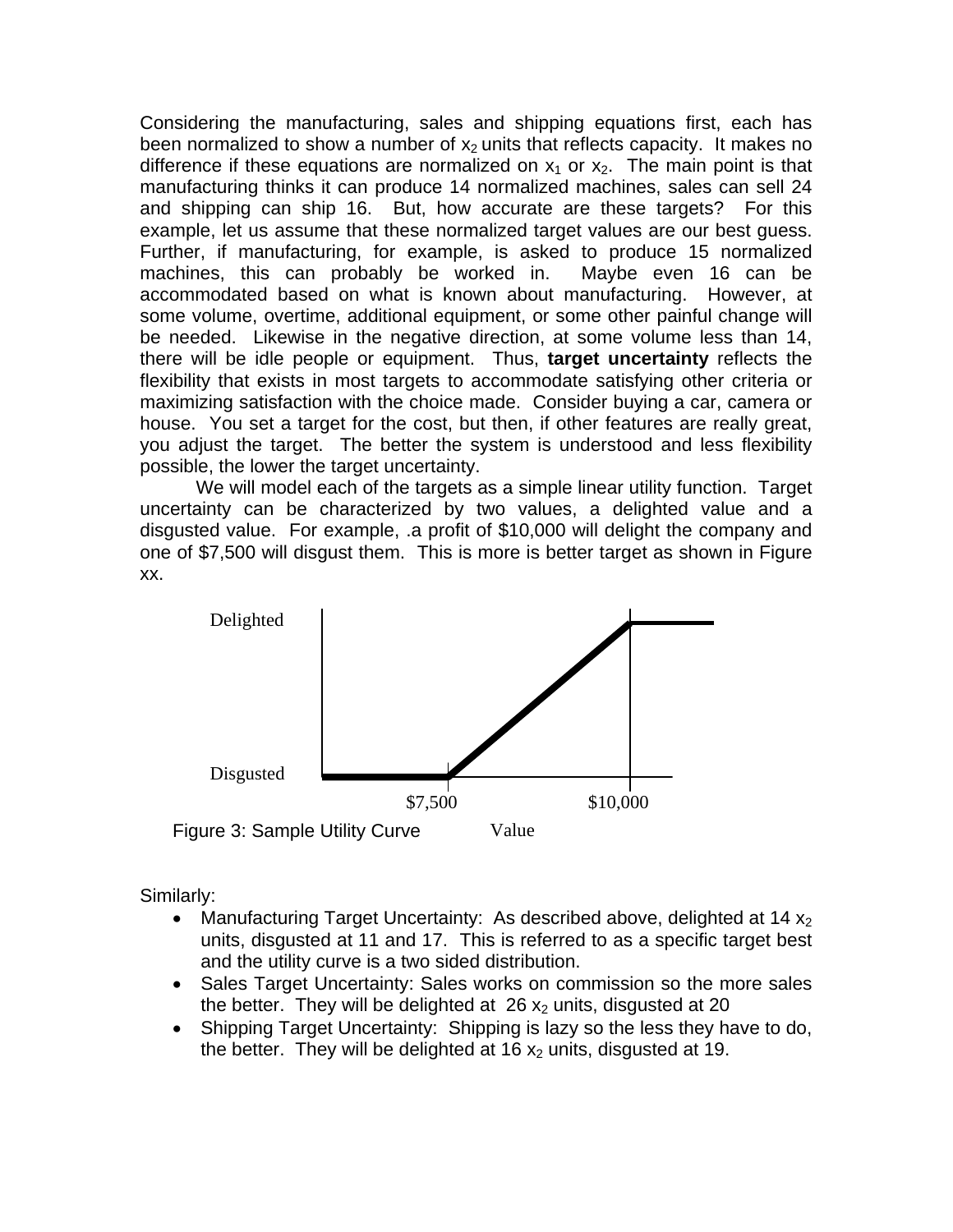Considering the manufacturing, sales and shipping equations first, each has been normalized to show a number of  $x_2$  units that reflects capacity. It makes no difference if these equations are normalized on  $x_1$  or  $x_2$ . The main point is that manufacturing thinks it can produce 14 normalized machines, sales can sell 24 and shipping can ship 16. But, how accurate are these targets? For this example, let us assume that these normalized target values are our best guess. Further, if manufacturing, for example, is asked to produce 15 normalized machines, this can probably be worked in. Maybe even 16 can be accommodated based on what is known about manufacturing. However, at some volume, overtime, additional equipment, or some other painful change will be needed. Likewise in the negative direction, at some volume less than 14, there will be idle people or equipment. Thus, **target uncertainty** reflects the flexibility that exists in most targets to accommodate satisfying other criteria or maximizing satisfaction with the choice made. Consider buying a car, camera or house. You set a target for the cost, but then, if other features are really great, you adjust the target.The better the system is understood and less flexibility possible, the lower the target uncertainty.

 We will model each of the targets as a simple linear utility function. Target uncertainty can be characterized by two values, a delighted value and a disgusted value. For example, .a profit of \$10,000 will delight the company and one of \$7,500 will disgust them. This is more is better target as shown in Figure xx.



Similarly:

- Manufacturing Target Uncertainty: As described above, delighted at 14  $x_2$ units, disgusted at 11 and 17. This is referred to as a specific target best and the utility curve is a two sided distribution.
- Sales Target Uncertainty: Sales works on commission so the more sales the better. They will be delighted at  $26 x<sub>2</sub>$  units, disgusted at 20
- Shipping Target Uncertainty: Shipping is lazy so the less they have to do, the better. They will be delighted at 16  $x_2$  units, disgusted at 19.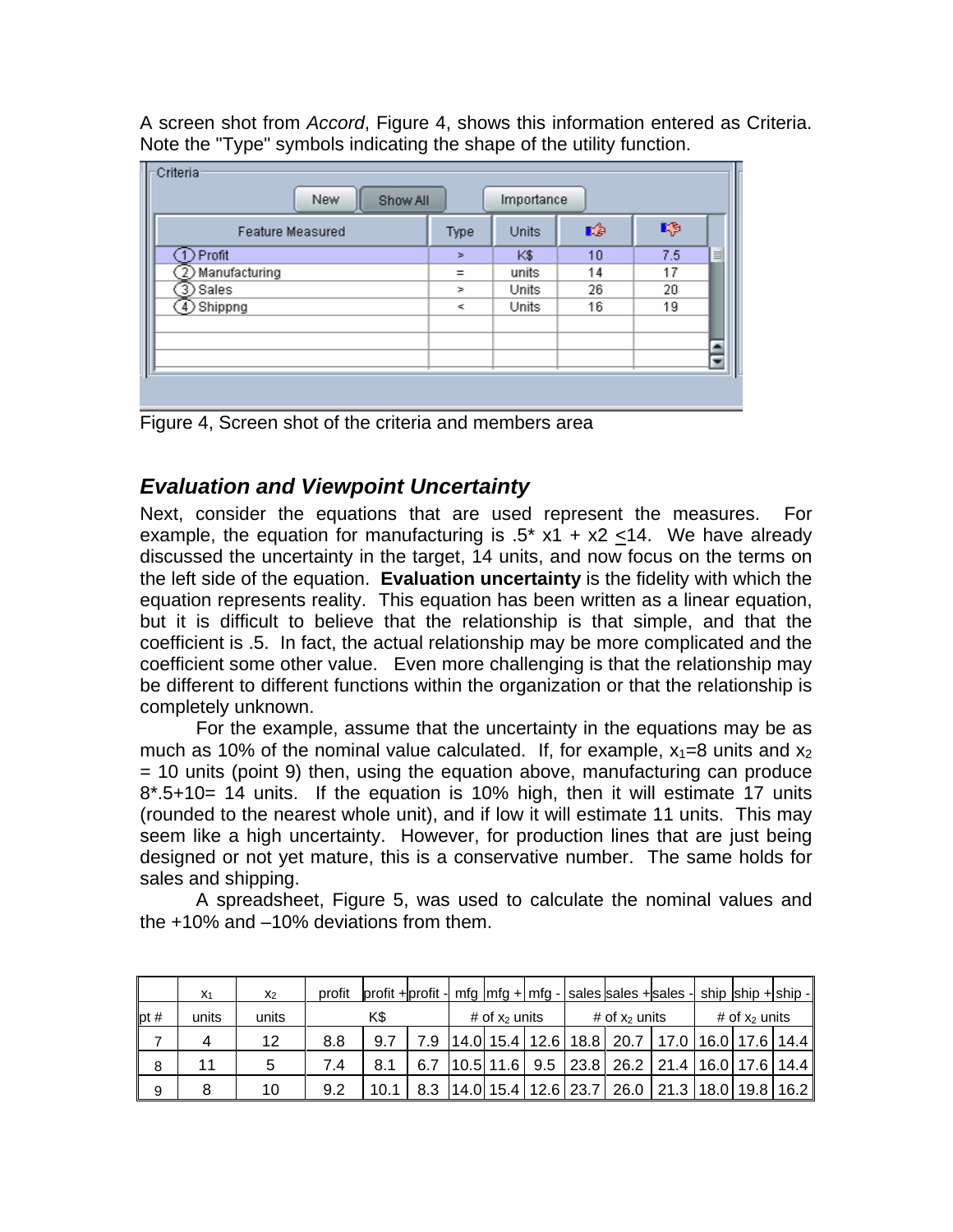A screen shot from *Accord*, Figure 4, shows this information entered as Criteria. Note the "Type" symbols indicating the shape of the utility function.

| ⊢Criteria:                           |        |              |    |     |          |  |  |  |  |
|--------------------------------------|--------|--------------|----|-----|----------|--|--|--|--|
| <b>New</b><br>Importance<br>Show All |        |              |    |     |          |  |  |  |  |
| <b>Feature Measured</b>              | Type   | <b>Units</b> | Kĝ | KB  |          |  |  |  |  |
| Profit                               | ×      | K\$          | 10 | 7.5 | $\equiv$ |  |  |  |  |
| Manufacturing                        | $=$    | units        | 14 | 17  |          |  |  |  |  |
| Sales<br>3                           | ⋗      | Units        | 26 | 20  |          |  |  |  |  |
| 4) Shippng                           | $\leq$ | Units        | 16 | 19  |          |  |  |  |  |
|                                      |        |              |    |     |          |  |  |  |  |
|                                      |        |              |    |     | ₹        |  |  |  |  |
|                                      |        |              |    |     |          |  |  |  |  |
|                                      |        |              |    |     |          |  |  |  |  |
|                                      |        |              |    |     |          |  |  |  |  |

Figure 4, Screen shot of the criteria and members area

# *Evaluation and Viewpoint Uncertainty*

Next, consider the equations that are used represent the measures. For example, the equation for manufacturing is  $.5^*$  x1 + x2 <14. We have already discussed the uncertainty in the target, 14 units, and now focus on the terms on the left side of the equation. **Evaluation uncertainty** is the fidelity with which the equation represents reality. This equation has been written as a linear equation, but it is difficult to believe that the relationship is that simple, and that the coefficient is .5. In fact, the actual relationship may be more complicated and the coefficient some other value. Even more challenging is that the relationship may be different to different functions within the organization or that the relationship is completely unknown.

For the example, assume that the uncertainty in the equations may be as much as 10% of the nominal value calculated. If, for example,  $x_1=8$  units and  $x_2$  $=$  10 units (point 9) then, using the equation above, manufacturing can produce 8\*.5+10= 14 units. If the equation is 10% high, then it will estimate 17 units (rounded to the nearest whole unit), and if low it will estimate 11 units. This may seem like a high uncertainty. However, for production lines that are just being designed or not yet mature, this is a conservative number. The same holds for sales and shipping.

A spreadsheet, Figure 5, was used to calculate the nominal values and the +10% and –10% deviations from them.

|     | X <sub>1</sub> | X <sub>2</sub> | profit |      |                  |  |                  |  |  | profit + profit -  mfg  mfg +  mfg -   sales   sales +   sales -  ship   ship +  ship -                             |  |  |  |  |
|-----|----------------|----------------|--------|------|------------------|--|------------------|--|--|---------------------------------------------------------------------------------------------------------------------|--|--|--|--|
| pt# | units          | units          | K\$    |      | # of $x_2$ units |  | # of $x_2$ units |  |  | # of $x_2$ units                                                                                                    |  |  |  |  |
|     | 4              | 12             | 8.8    | 9.7  | 7.9              |  |                  |  |  | $ 14.0 15.4 12.6 18.8 20.7 17.0 16.0 17.6 14.4 $                                                                    |  |  |  |  |
| 8   | 11             | 5              | 7.4    | 8.1  | 6.7              |  |                  |  |  | $\vert$ 10.5 $\vert$ 11.6 $\vert$ 9.5 $\vert$ 23.8 $\vert$ 26.2 $\vert$ 21.4 $\vert$ 16.0 $\vert$ 17.6 $\vert$ 14.4 |  |  |  |  |
| 9   |                | 10             | 9.2    | 10.1 | 8.3              |  |                  |  |  | $ 14.0 15.4 12.6 23.7 26.0 21.3 18.0 19.8 16.2 $                                                                    |  |  |  |  |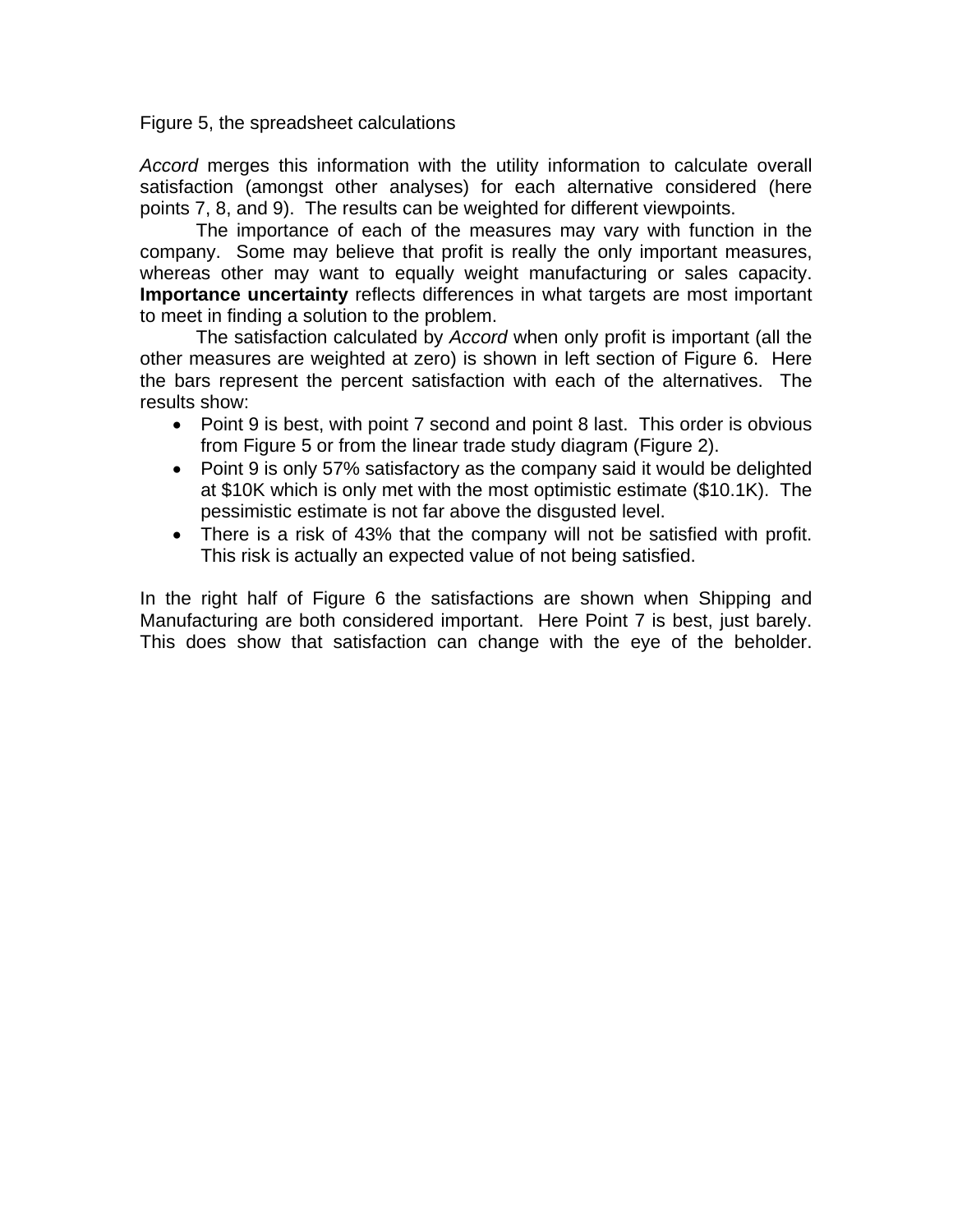Figure 5, the spreadsheet calculations

*Accord* merges this information with the utility information to calculate overall satisfaction (amongst other analyses) for each alternative considered (here points 7, 8, and 9). The results can be weighted for different viewpoints.

The importance of each of the measures may vary with function in the company. Some may believe that profit is really the only important measures, whereas other may want to equally weight manufacturing or sales capacity. **Importance uncertainty** reflects differences in what targets are most important to meet in finding a solution to the problem.

 The satisfaction calculated by *Accord* when only profit is important (all the other measures are weighted at zero) is shown in left section of Figure 6. Here the bars represent the percent satisfaction with each of the alternatives. The results show:

- Point 9 is best, with point 7 second and point 8 last. This order is obvious from Figure 5 or from the linear trade study diagram (Figure 2).
- Point 9 is only 57% satisfactory as the company said it would be delighted at \$10K which is only met with the most optimistic estimate (\$10.1K). The pessimistic estimate is not far above the disgusted level.
- There is a risk of 43% that the company will not be satisfied with profit. This risk is actually an expected value of not being satisfied.

In the right half of Figure 6 the satisfactions are shown when Shipping and Manufacturing are both considered important. Here Point 7 is best, just barely. This does show that satisfaction can change with the eye of the beholder.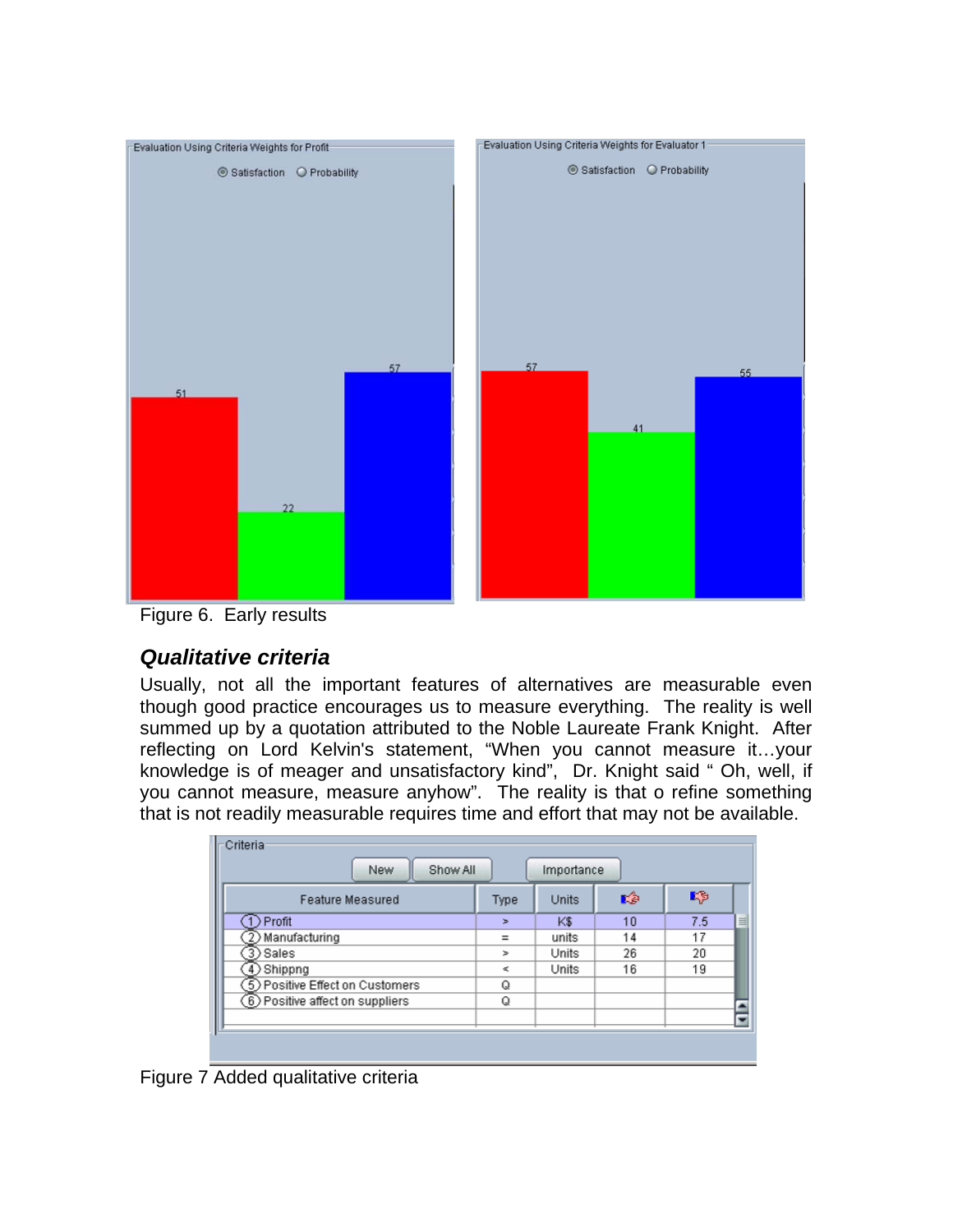

Figure 6. Early results

## *Qualitative criteria*

Usually, not all the important features of alternatives are measurable even though good practice encourages us to measure everything. The reality is well summed up by a quotation attributed to the Noble Laureate Frank Knight. After reflecting on Lord Kelvin's statement, "When you cannot measure it…your knowledge is of meager and unsatisfactory kind", Dr. Knight said " Oh, well, if you cannot measure, measure anyhow". The reality is that o refine something that is not readily measurable requires time and effort that may not be available.

| Criteria<br>Show All<br><b>New</b> |        | Importance   |    |      |   |  |
|------------------------------------|--------|--------------|----|------|---|--|
| <b>Feature Measured</b>            | Type   | <b>Units</b> | Kĝ | D, B |   |  |
| Profit                             | $\geq$ | K\$          | 10 | 7.5  | 目 |  |
| Manufacturing                      | $=$    | units        | 14 | 17   |   |  |
| 3<br>Sales                         | $\geq$ | Units        | 26 | 20   |   |  |
| Shippng                            | ×.     | Units        | 16 | 19   |   |  |
| 5) Positive Effect on Customers    | Q      |              |    |      |   |  |
| 6 Positive affect on suppliers     | Q      |              |    |      |   |  |
|                                    |        |              |    |      |   |  |
|                                    |        |              |    |      |   |  |

Figure 7 Added qualitative criteria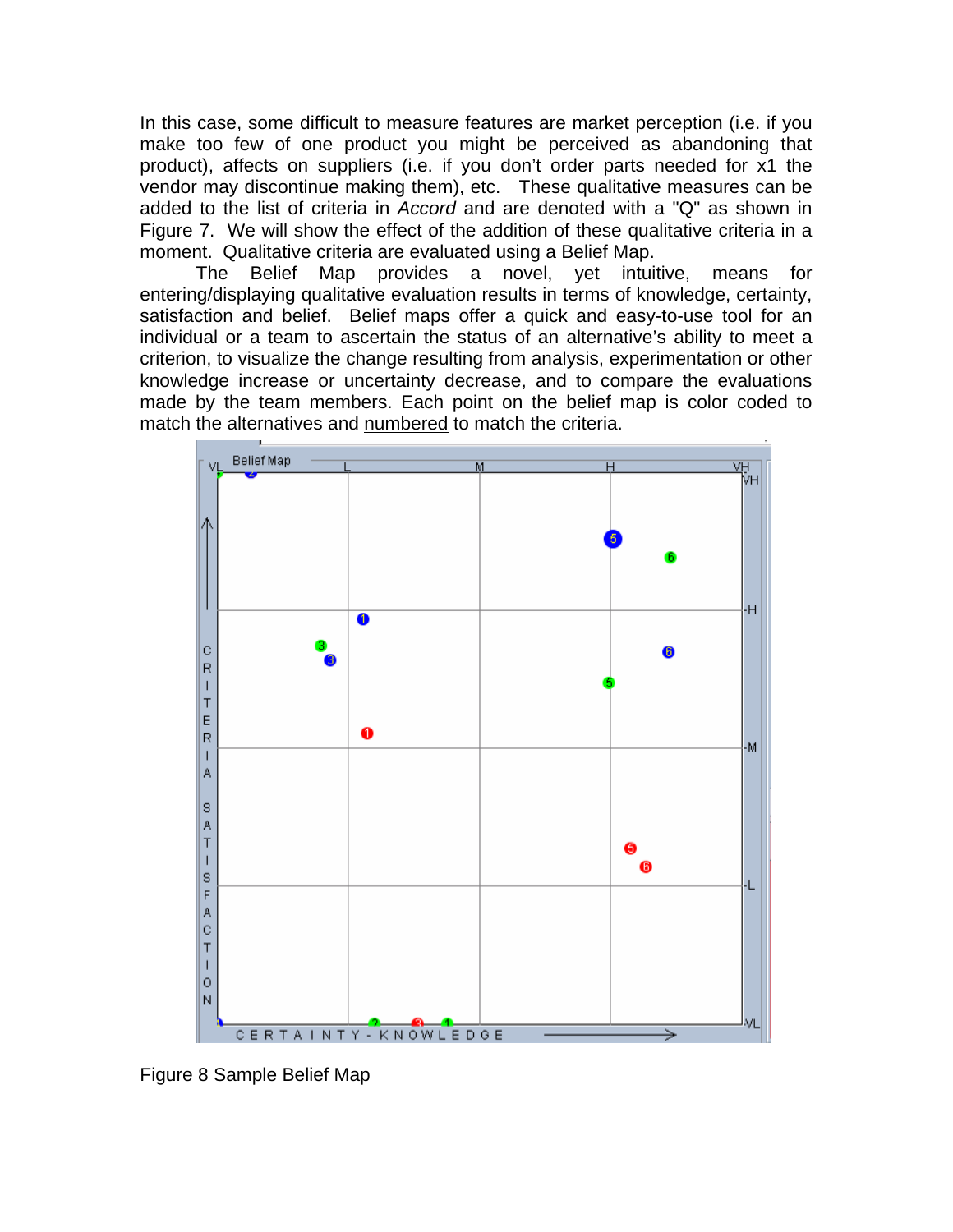In this case, some difficult to measure features are market perception (i.e. if you make too few of one product you might be perceived as abandoning that product), affects on suppliers (i.e. if you don't order parts needed for x1 the vendor may discontinue making them), etc. These qualitative measures can be added to the list of criteria in *Accord* and are denoted with a "Q" as shown in Figure 7. We will show the effect of the addition of these qualitative criteria in a moment. Qualitative criteria are evaluated using a Belief Map.

The Belief Map provides a novel, yet intuitive, means for entering/displaying qualitative evaluation results in terms of knowledge, certainty, satisfaction and belief. Belief maps offer a quick and easy-to-use tool for an individual or a team to ascertain the status of an alternative's ability to meet a criterion, to visualize the change resulting from analysis, experimentation or other knowledge increase or uncertainty decrease, and to compare the evaluations made by the team members. Each point on the belief map is color coded to match the alternatives and numbered to match the criteria.



Figure 8 Sample Belief Map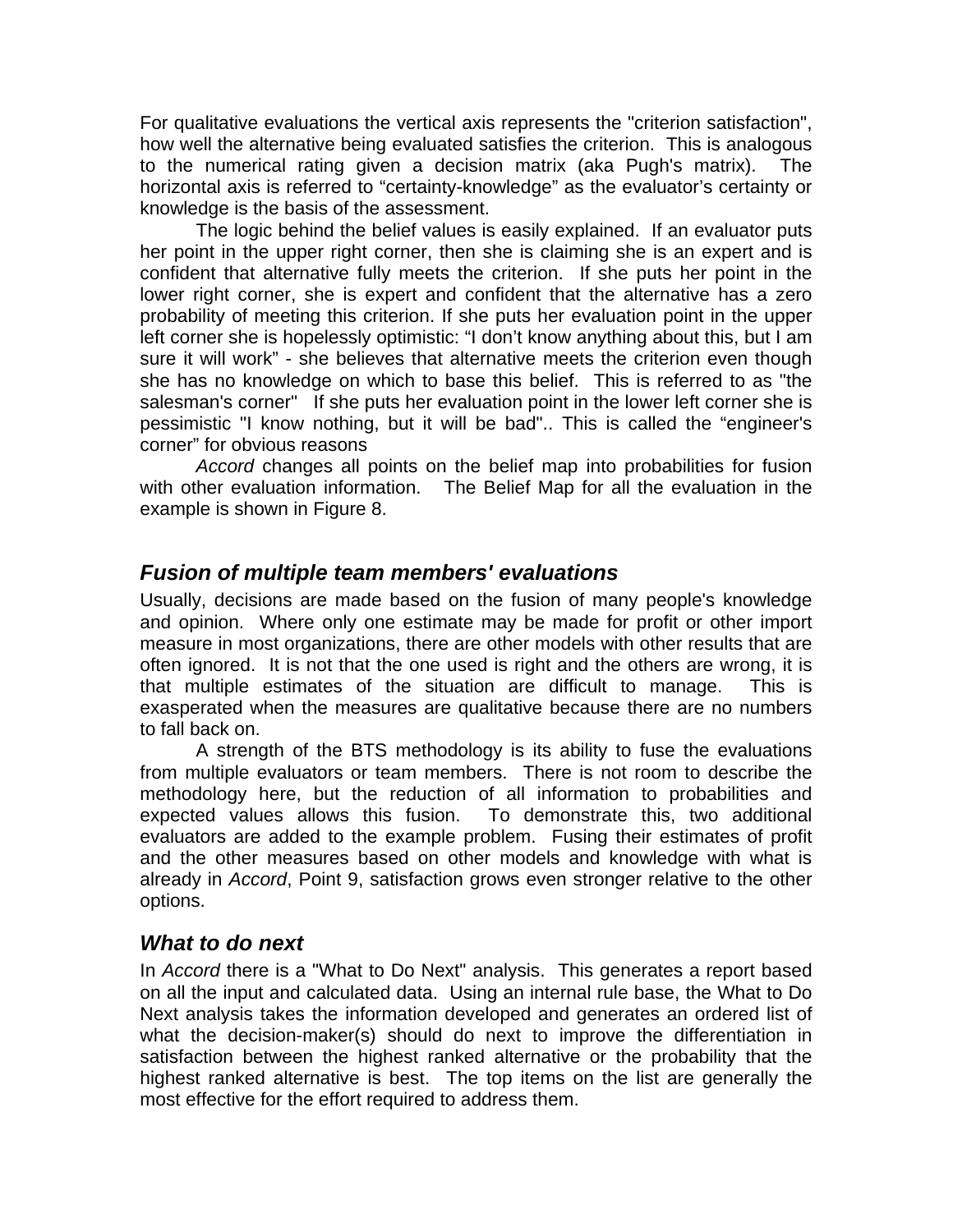For qualitative evaluations the vertical axis represents the "criterion satisfaction", how well the alternative being evaluated satisfies the criterion. This is analogous to the numerical rating given a decision matrix (aka Pugh's matrix). The horizontal axis is referred to "certainty-knowledge" as the evaluator's certainty or knowledge is the basis of the assessment.

The logic behind the belief values is easily explained. If an evaluator puts her point in the upper right corner, then she is claiming she is an expert and is confident that alternative fully meets the criterion. If she puts her point in the lower right corner, she is expert and confident that the alternative has a zero probability of meeting this criterion. If she puts her evaluation point in the upper left corner she is hopelessly optimistic: "I don't know anything about this, but I am sure it will work" - she believes that alternative meets the criterion even though she has no knowledge on which to base this belief. This is referred to as "the salesman's corner" If she puts her evaluation point in the lower left corner she is pessimistic "I know nothing, but it will be bad".. This is called the "engineer's corner" for obvious reasons

*Accord* changes all points on the belief map into probabilities for fusion with other evaluation information. The Belief Map for all the evaluation in the example is shown in Figure 8.

## *Fusion of multiple team members' evaluations*

Usually, decisions are made based on the fusion of many people's knowledge and opinion. Where only one estimate may be made for profit or other import measure in most organizations, there are other models with other results that are often ignored. It is not that the one used is right and the others are wrong, it is that multiple estimates of the situation are difficult to manage. This is exasperated when the measures are qualitative because there are no numbers to fall back on.

A strength of the BTS methodology is its ability to fuse the evaluations from multiple evaluators or team members. There is not room to describe the methodology here, but the reduction of all information to probabilities and expected values allows this fusion. To demonstrate this, two additional evaluators are added to the example problem. Fusing their estimates of profit and the other measures based on other models and knowledge with what is already in *Accord*, Point 9, satisfaction grows even stronger relative to the other options.

### *What to do next*

In *Accord* there is a "What to Do Next" analysis. This generates a report based on all the input and calculated data. Using an internal rule base, the What to Do Next analysis takes the information developed and generates an ordered list of what the decision-maker(s) should do next to improve the differentiation in satisfaction between the highest ranked alternative or the probability that the highest ranked alternative is best. The top items on the list are generally the most effective for the effort required to address them.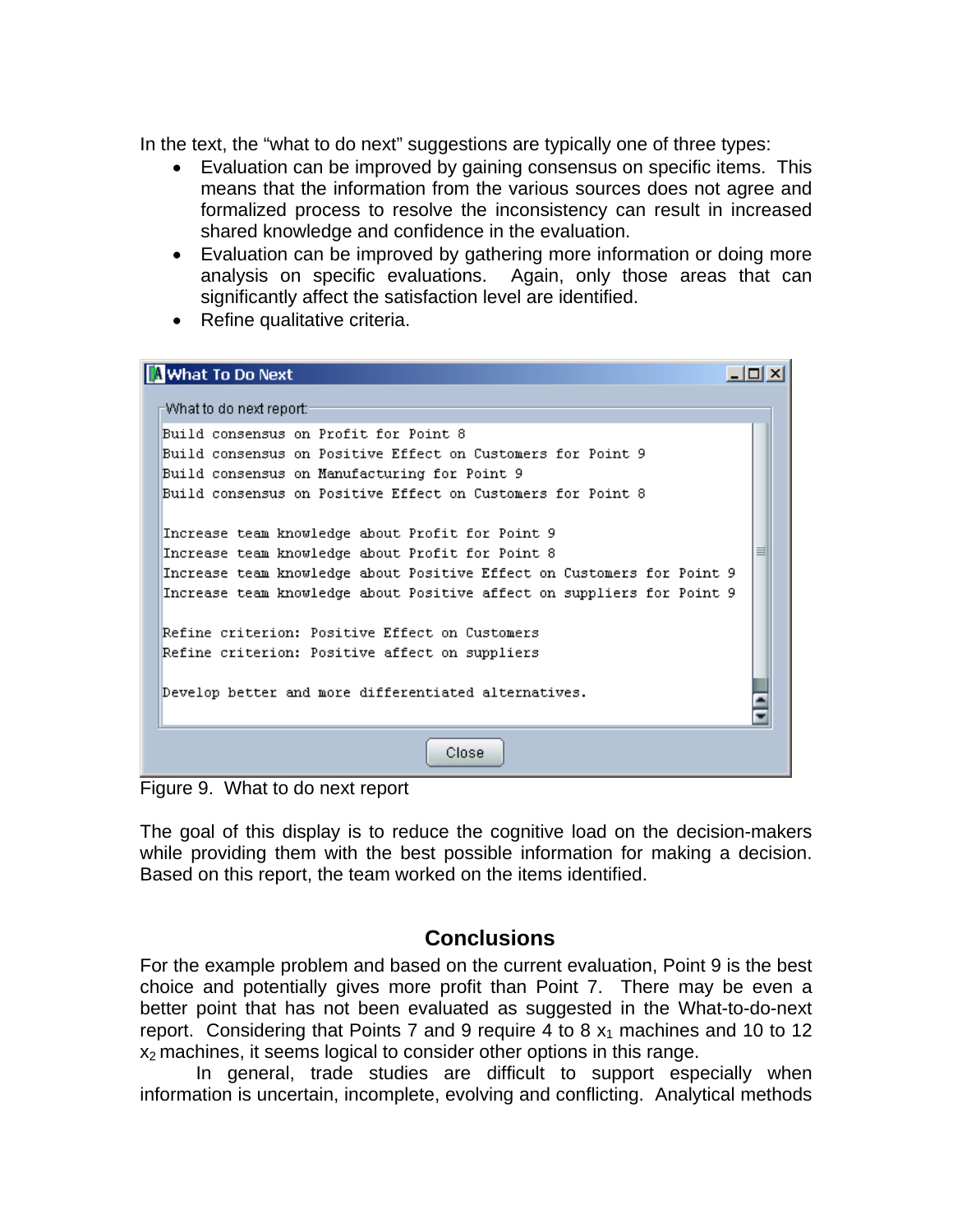In the text, the "what to do next" suggestions are typically one of three types:

- Evaluation can be improved by gaining consensus on specific items. This means that the information from the various sources does not agree and formalized process to resolve the inconsistency can result in increased shared knowledge and confidence in the evaluation.
- Evaluation can be improved by gathering more information or doing more analysis on specific evaluations. Again, only those areas that can significantly affect the satisfaction level are identified.
- Refine qualitative criteria.

# **M** What To Do Next  $\Box$ What to do next report:-Build consensus on Profit for Point 8 Build consensus on Positive Effect on Customers for Point 9 Build consensus on Manufacturing for Point 9 Build consensus on Positive Effect on Customers for Point 8 Increase team knowledge about Profit for Point 9 Increase team knowledge about Profit for Point 8 Increase team knowledge about Positive Effect on Customers for Point 9 Increase team knowledge about Positive affect on suppliers for Point 9 Refine criterion: Positive Effect on Customers Refine criterion: Positive affect on suppliers Develop better and more differentiated alternatives. Close

Figure 9. What to do next report

The goal of this display is to reduce the cognitive load on the decision-makers while providing them with the best possible information for making a decision. Based on this report, the team worked on the items identified.

### **Conclusions**

For the example problem and based on the current evaluation, Point 9 is the best choice and potentially gives more profit than Point 7. There may be even a better point that has not been evaluated as suggested in the What-to-do-next report. Considering that Points 7 and 9 require 4 to 8  $x_1$  machines and 10 to 12  $x_2$  machines, it seems logical to consider other options in this range.

 In general, trade studies are difficult to support especially when information is uncertain, incomplete, evolving and conflicting. Analytical methods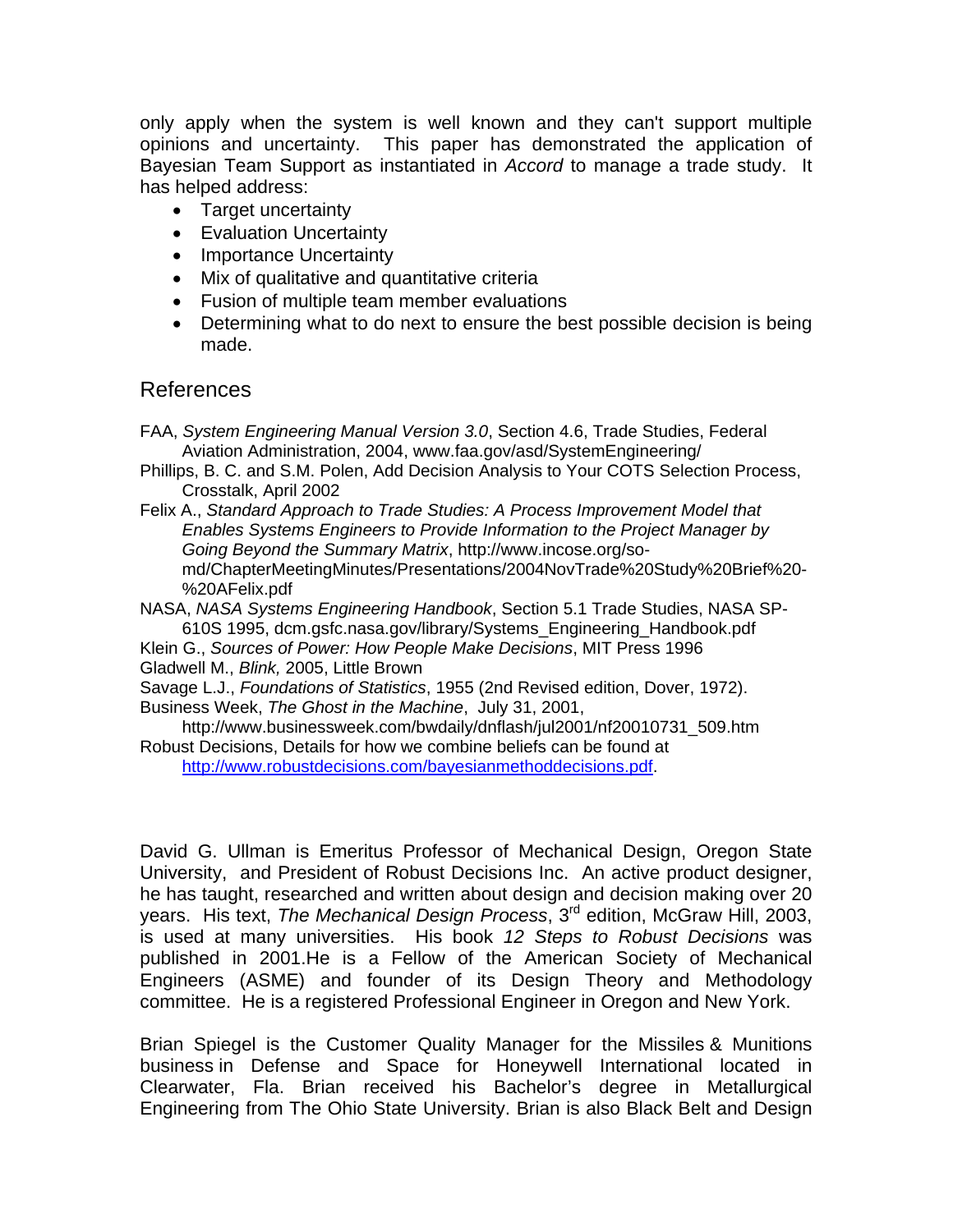only apply when the system is well known and they can't support multiple opinions and uncertainty. This paper has demonstrated the application of Bayesian Team Support as instantiated in *Accord* to manage a trade study. It has helped address:

- Target uncertainty
- Evaluation Uncertainty
- Importance Uncertainty
- Mix of qualitative and quantitative criteria
- Fusion of multiple team member evaluations
- Determining what to do next to ensure the best possible decision is being made.

### References

- FAA, *System Engineering Manual Version 3.0*, Section 4.6, Trade Studies, Federal Aviation Administration, 2004, www.faa.gov/asd/SystemEngineering/
- Phillips, B. C. and S.M. Polen, Add Decision Analysis to Your COTS Selection Process, Crosstalk, April 2002
- Felix A., *Standard Approach to Trade Studies: A Process Improvement Model that Enables Systems Engineers to Provide Information to the Project Manager by Going Beyond the Summary Matrix*, http://www.incose.org/somd/ChapterMeetingMinutes/Presentations/2004NovTrade%20Study%20Brief%20- %20AFelix.pdf
- NASA, *NASA Systems Engineering Handbook*, Section 5.1 Trade Studies, NASA SP-610S 1995, dcm.gsfc.nasa.gov/library/Systems\_Engineering\_Handbook.pdf
- Klein G., *Sources of Power: How People Make Decisions*, MIT Press 1996 Gladwell M., *Blink,* 2005, Little Brown
- Savage L.J., *Foundations of Statistics*, 1955 (2nd Revised edition, Dover, 1972). Business Week, *The Ghost in the Machine*, July 31, 2001,
- http://www.businessweek.com/bwdaily/dnflash/jul2001/nf20010731\_509.htm Robust Decisions, Details for how we combine beliefs can be found at

http://www.robustdecisions.com/bayesianmethoddecisions.pdf.

David G. Ullman is Emeritus Professor of Mechanical Design, Oregon State University, and President of Robust Decisions Inc. An active product designer, he has taught, researched and written about design and decision making over 20 years. His text, *The Mechanical Design Process*, 3<sup>rd</sup> edition, McGraw Hill, 2003, is used at many universities. His book *12 Steps to Robust Decisions* was published in 2001.He is a Fellow of the American Society of Mechanical Engineers (ASME) and founder of its Design Theory and Methodology committee. He is a registered Professional Engineer in Oregon and New York.

Brian Spiegel is the Customer Quality Manager for the Missiles & Munitions business in Defense and Space for Honeywell International located in Clearwater, Fla. Brian received his Bachelor's degree in Metallurgical Engineering from The Ohio State University. Brian is also Black Belt and Design